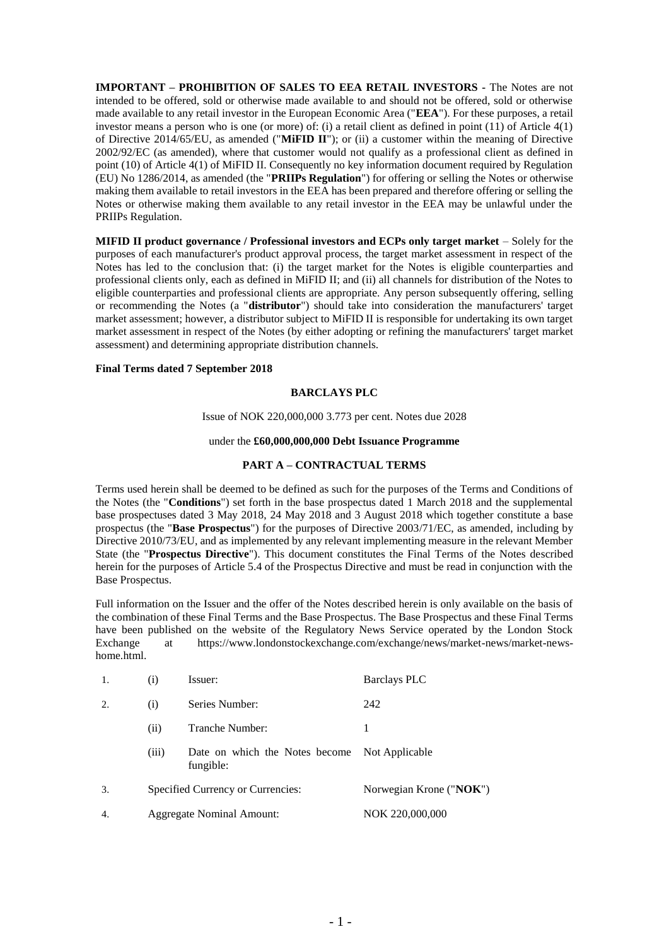**IMPORTANT – PROHIBITION OF SALES TO EEA RETAIL INVESTORS -** The Notes are not intended to be offered, sold or otherwise made available to and should not be offered, sold or otherwise made available to any retail investor in the European Economic Area ("**EEA**"). For these purposes, a retail investor means a person who is one (or more) of: (i) a retail client as defined in point (11) of Article 4(1) of Directive 2014/65/EU, as amended ("**MiFID II**"); or (ii) a customer within the meaning of Directive 2002/92/EC (as amended), where that customer would not qualify as a professional client as defined in point (10) of Article 4(1) of MiFID II. Consequently no key information document required by Regulation (EU) No 1286/2014, as amended (the "**PRIIPs Regulation**") for offering or selling the Notes or otherwise making them available to retail investors in the EEA has been prepared and therefore offering or selling the Notes or otherwise making them available to any retail investor in the EEA may be unlawful under the PRIIPs Regulation.

**MIFID II product governance / Professional investors and ECPs only target market** – Solely for the purposes of each manufacturer's product approval process, the target market assessment in respect of the Notes has led to the conclusion that: (i) the target market for the Notes is eligible counterparties and professional clients only, each as defined in MiFID II; and (ii) all channels for distribution of the Notes to eligible counterparties and professional clients are appropriate. Any person subsequently offering, selling or recommending the Notes (a "**distributor**") should take into consideration the manufacturers' target market assessment; however, a distributor subject to MiFID II is responsible for undertaking its own target market assessment in respect of the Notes (by either adopting or refining the manufacturers' target market assessment) and determining appropriate distribution channels.

### **Final Terms dated 7 September 2018**

### **BARCLAYS PLC**

Issue of NOK 220,000,000 3.773 per cent. Notes due 2028

#### under the **£60,000,000,000 Debt Issuance Programme**

#### **PART A – CONTRACTUAL TERMS**

Terms used herein shall be deemed to be defined as such for the purposes of the Terms and Conditions of the Notes (the "**Conditions**") set forth in the base prospectus dated 1 March 2018 and the supplemental base prospectuses dated 3 May 2018, 24 May 2018 and 3 August 2018 which together constitute a base prospectus (the "**Base Prospectus**") for the purposes of Directive 2003/71/EC, as amended, including by Directive 2010/73/EU, and as implemented by any relevant implementing measure in the relevant Member State (the "**Prospectus Directive**"). This document constitutes the Final Terms of the Notes described herein for the purposes of Article 5.4 of the Prospectus Directive and must be read in conjunction with the Base Prospectus.

Full information on the Issuer and the offer of the Notes described herein is only available on the basis of the combination of these Final Terms and the Base Prospectus. The Base Prospectus and these Final Terms have been published on the website of the Regulatory News Service operated by the London Stock Exchange at https://www.londonstockexchange.com/exchange/news/market-news/market-newshome.html.

| 1. | $\left( i\right)$                 | Issuer:                                                    | <b>Barclays PLC</b>     |
|----|-----------------------------------|------------------------------------------------------------|-------------------------|
| 2. | (i)                               | Series Number:                                             | 242                     |
|    | (i)                               | Tranche Number:                                            |                         |
|    | (iii)                             | Date on which the Notes become Not Applicable<br>fungible: |                         |
| 3. | Specified Currency or Currencies: |                                                            | Norwegian Krone ("NOK") |
| 4. | Aggregate Nominal Amount:         |                                                            | NOK 220,000,000         |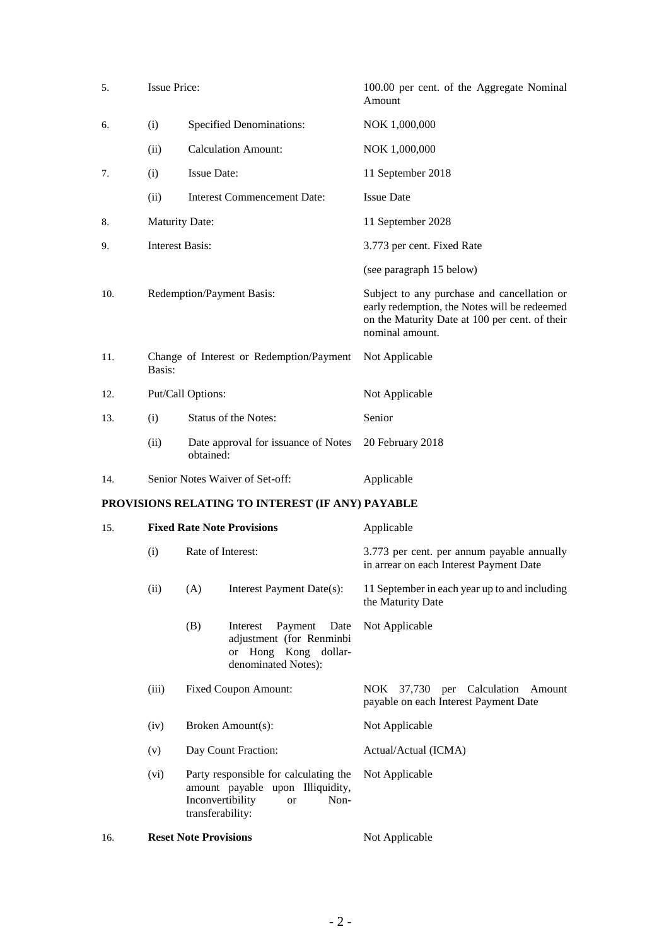| 5.  | <b>Issue Price:</b>               |                                                                                                                                        | 100.00 per cent. of the Aggregate Nominal<br>Amount                                                                                                              |
|-----|-----------------------------------|----------------------------------------------------------------------------------------------------------------------------------------|------------------------------------------------------------------------------------------------------------------------------------------------------------------|
| 6.  | (i)                               | <b>Specified Denominations:</b>                                                                                                        | NOK 1,000,000                                                                                                                                                    |
|     | (ii)                              | <b>Calculation Amount:</b>                                                                                                             | NOK 1,000,000                                                                                                                                                    |
| 7.  | (i)                               | <b>Issue Date:</b>                                                                                                                     | 11 September 2018                                                                                                                                                |
|     | (ii)                              | <b>Interest Commencement Date:</b>                                                                                                     | <b>Issue Date</b>                                                                                                                                                |
| 8.  | <b>Maturity Date:</b>             |                                                                                                                                        | 11 September 2028                                                                                                                                                |
| 9.  | <b>Interest Basis:</b>            |                                                                                                                                        | 3.773 per cent. Fixed Rate                                                                                                                                       |
|     |                                   |                                                                                                                                        | (see paragraph 15 below)                                                                                                                                         |
| 10. | Redemption/Payment Basis:         |                                                                                                                                        | Subject to any purchase and cancellation or<br>early redemption, the Notes will be redeemed<br>on the Maturity Date at 100 per cent. of their<br>nominal amount. |
| 11. | Basis:                            | Change of Interest or Redemption/Payment                                                                                               | Not Applicable                                                                                                                                                   |
| 12. |                                   | Put/Call Options:                                                                                                                      | Not Applicable                                                                                                                                                   |
| 13. | (i)                               | Status of the Notes:                                                                                                                   | Senior                                                                                                                                                           |
|     | (ii)                              | Date approval for issuance of Notes<br>obtained:                                                                                       | 20 February 2018                                                                                                                                                 |
| 14. |                                   | Senior Notes Waiver of Set-off:                                                                                                        | Applicable                                                                                                                                                       |
|     |                                   | PROVISIONS RELATING TO INTEREST (IF ANY) PAYABLE                                                                                       |                                                                                                                                                                  |
| 15. | <b>Fixed Rate Note Provisions</b> |                                                                                                                                        | Applicable                                                                                                                                                       |
|     | (i)                               | Rate of Interest:                                                                                                                      | 3.773 per cent. per annum payable annually<br>in arrear on each Interest Payment Date                                                                            |
|     | (ii)                              | (A)<br>Interest Payment Date(s):                                                                                                       | 11 September in each year up to and including<br>the Maturity Date                                                                                               |
|     |                                   | (B)<br>Payment<br>Date<br>Interest<br>adjustment (for Renminbi<br>or Hong Kong dollar-<br>denominated Notes):                          | Not Applicable                                                                                                                                                   |
|     | (iii)                             | Fixed Coupon Amount:                                                                                                                   | NOK 37,730 per Calculation<br>Amount<br>payable on each Interest Payment Date                                                                                    |
|     | (iv)                              | Broken Amount(s):                                                                                                                      | Not Applicable                                                                                                                                                   |
|     | (v)                               | Day Count Fraction:                                                                                                                    | Actual/Actual (ICMA)                                                                                                                                             |
|     | (vi)                              | Party responsible for calculating the<br>amount payable upon Illiquidity,<br>Inconvertibility<br>Non-<br><b>or</b><br>transferability: | Not Applicable                                                                                                                                                   |
| 16. |                                   | <b>Reset Note Provisions</b>                                                                                                           | Not Applicable                                                                                                                                                   |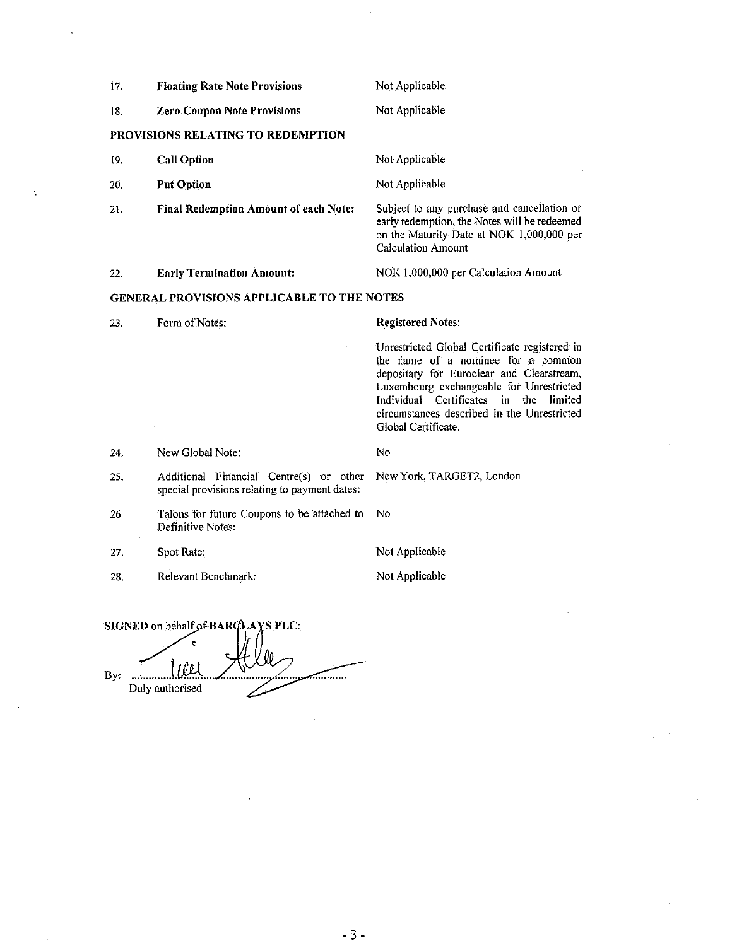| 17.                                               | <b>Floating Rate Note Provisions</b>                                                     | Not Applicable                                                                                                                                                                                                                                                                                        |  |
|---------------------------------------------------|------------------------------------------------------------------------------------------|-------------------------------------------------------------------------------------------------------------------------------------------------------------------------------------------------------------------------------------------------------------------------------------------------------|--|
| 18.                                               | <b>Zero Coupon Note Provisions</b>                                                       | Not Applicable                                                                                                                                                                                                                                                                                        |  |
|                                                   | PROVISIONS RELATING TO REDEMPTION                                                        |                                                                                                                                                                                                                                                                                                       |  |
| 19.                                               | <b>Call Option</b>                                                                       | Not Applicable                                                                                                                                                                                                                                                                                        |  |
| 20.                                               | <b>Put Option</b>                                                                        | Not Applicable                                                                                                                                                                                                                                                                                        |  |
| 21.                                               | <b>Final Redemption Amount of each Note:</b>                                             | Subject to any purchase and cancellation or<br>early redemption, the Notes will be redeemed<br>on the Maturity Date at NOK 1,000,000 per<br><b>Calculation Amount</b>                                                                                                                                 |  |
| 22.                                               | <b>Early Termination Amount:</b>                                                         | NOK 1,000,000 per Calculation Amount                                                                                                                                                                                                                                                                  |  |
| <b>GENERAL PROVISIONS APPLICABLE TO THE NOTES</b> |                                                                                          |                                                                                                                                                                                                                                                                                                       |  |
| 23.                                               | Form of Notes:                                                                           | <b>Registered Notes:</b>                                                                                                                                                                                                                                                                              |  |
|                                                   |                                                                                          | Unrestricted Global Certificate registered in<br>the name of a nominee for a common<br>depositary for Euroclear and Clearstream,<br>Luxembourg exchangeable for Unrestricted<br>Individual Certificates<br>the<br>in<br>limited<br>circumstances described in the Unrestricted<br>Global Certificate. |  |
| 24.                                               | New Global Note:                                                                         | No                                                                                                                                                                                                                                                                                                    |  |
| 25.                                               | Additional Financial Centre(s) or other<br>special provisions relating to payment dates: | New York, TARGET2, London                                                                                                                                                                                                                                                                             |  |
| 26.                                               | Talons for future Coupons to be attached to<br>Definitive Notes:                         | No                                                                                                                                                                                                                                                                                                    |  |
| 27.                                               | Spot Rate:                                                                               | Not Applicable                                                                                                                                                                                                                                                                                        |  |
| 28.                                               | Relevant Benchmark:                                                                      | Not Applicable                                                                                                                                                                                                                                                                                        |  |
|                                                   |                                                                                          |                                                                                                                                                                                                                                                                                                       |  |

SIGNED on behalf of BARCLAYS PLC:  $_{\text{By:}}$   $\frac{1}{2}$ <del>. . . . . . . .</del> . Duly authorised ے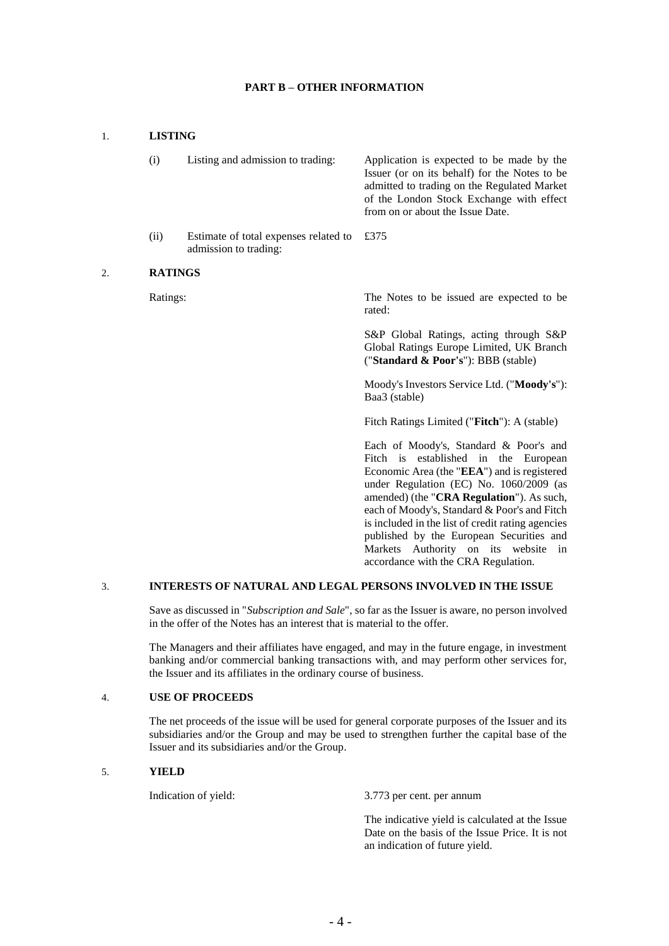### **PART B – OTHER INFORMATION**

# 1. **LISTING**

| (i)  | Listing and admission to trading:                                     | Application is expected to be made by the<br>Issuer (or on its behalf) for the Notes to be<br>admitted to trading on the Regulated Market<br>of the London Stock Exchange with effect<br>from on or about the Issue Date. |
|------|-----------------------------------------------------------------------|---------------------------------------------------------------------------------------------------------------------------------------------------------------------------------------------------------------------------|
| (ii) | Estimate of total expenses related to $£375$<br>admission to trading: |                                                                                                                                                                                                                           |

#### 2. **RATINGS**

Ratings: The Notes to be issued are expected to be rated:

> S&P Global Ratings, acting through S&P Global Ratings Europe Limited, UK Branch ("**Standard & Poor's**"): BBB (stable)

> Moody's Investors Service Ltd. ("**Moody's**"): Baa3 (stable)

Fitch Ratings Limited ("**Fitch**"): A (stable)

Each of Moody's, Standard & Poor's and Fitch is established in the European Economic Area (the "**EEA**") and is registered under Regulation (EC) No. 1060/2009 (as amended) (the "**CRA Regulation**"). As such, each of Moody's, Standard & Poor's and Fitch is included in the list of credit rating agencies published by the European Securities and Markets Authority on its website in accordance with the CRA Regulation.

# 3. **INTERESTS OF NATURAL AND LEGAL PERSONS INVOLVED IN THE ISSUE**

Save as discussed in "*Subscription and Sale*", so far as the Issuer is aware, no person involved in the offer of the Notes has an interest that is material to the offer.

The Managers and their affiliates have engaged, and may in the future engage, in investment banking and/or commercial banking transactions with, and may perform other services for, the Issuer and its affiliates in the ordinary course of business.

### 4. **USE OF PROCEEDS**

The net proceeds of the issue will be used for general corporate purposes of the Issuer and its subsidiaries and/or the Group and may be used to strengthen further the capital base of the Issuer and its subsidiaries and/or the Group.

# 5. **YIELD**

Indication of yield: 3.773 per cent. per annum

The indicative yield is calculated at the Issue Date on the basis of the Issue Price. It is not an indication of future yield.